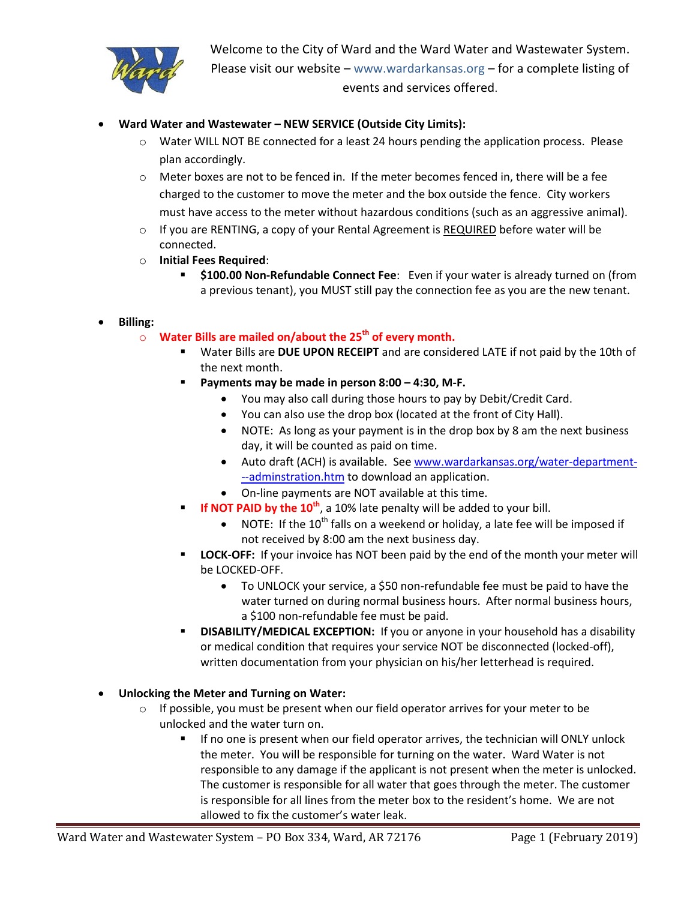

Welcome to the City of Ward and the Ward Water and Wastewater System. Please visit our website – www.wardarkansas.org – for a complete listing of events and services offered.

# **Ward Water and Wastewater – NEW SERVICE (Outside City Limits):**

- o Water WILL NOT BE connected for a least 24 hours pending the application process. Please plan accordingly.
- $\circ$  Meter boxes are not to be fenced in. If the meter becomes fenced in, there will be a fee charged to the customer to move the meter and the box outside the fence. City workers must have access to the meter without hazardous conditions (such as an aggressive animal).
- $\circ$  If you are RENTING, a copy of your Rental Agreement is REQUIRED before water will be connected.
- o **Initial Fees Required**:
	- **\$100.00 Non-Refundable Connect Fee**: Even if your water is already turned on (from a previous tenant), you MUST still pay the connection fee as you are the new tenant.
- **Billing:**

#### o **Water Bills are mailed on/about the 25th of every month.**

- Water Bills are **DUE UPON RECEIPT** and are considered LATE if not paid by the 10th of the next month.
- **Payments may be made in person 8:00 – 4:30, M-F.** 
	- You may also call during those hours to pay by Debit/Credit Card.
	- You can also use the drop box (located at the front of City Hall).
	- NOTE: As long as your payment is in the drop box by 8 am the next business day, it will be counted as paid on time.
	- Auto draft (ACH) is available. Se[e www.wardarkansas.org/water-department-](http://www.wardarkansas.org/water-department---adminstration.htm) [--adminstration.htm](http://www.wardarkansas.org/water-department---adminstration.htm) to download an application.
	- On-line payments are NOT available at this time.
- **If NOT PAID by the 10<sup>th</sup>**, a 10% late penalty will be added to your bill.
	- NOTE: If the  $10^{th}$  falls on a weekend or holiday, a late fee will be imposed if not received by 8:00 am the next business day.
- **LOCK-OFF:** If your invoice has NOT been paid by the end of the month your meter will be LOCKED-OFF.
	- To UNLOCK your service, a \$50 non-refundable fee must be paid to have the water turned on during normal business hours. After normal business hours, a \$100 non-refundable fee must be paid.
- **DISABILITY/MEDICAL EXCEPTION:** If you or anyone in your household has a disability or medical condition that requires your service NOT be disconnected (locked-off), written documentation from your physician on his/her letterhead is required.

#### **Unlocking the Meter and Turning on Water:**

- $\circ$  If possible, you must be present when our field operator arrives for your meter to be unlocked and the water turn on.
	- If no one is present when our field operator arrives, the technician will ONLY unlock the meter. You will be responsible for turning on the water. Ward Water is not responsible to any damage if the applicant is not present when the meter is unlocked. The customer is responsible for all water that goes through the meter. The customer is responsible for all lines from the meter box to the resident's home. We are not allowed to fix the customer's water leak.